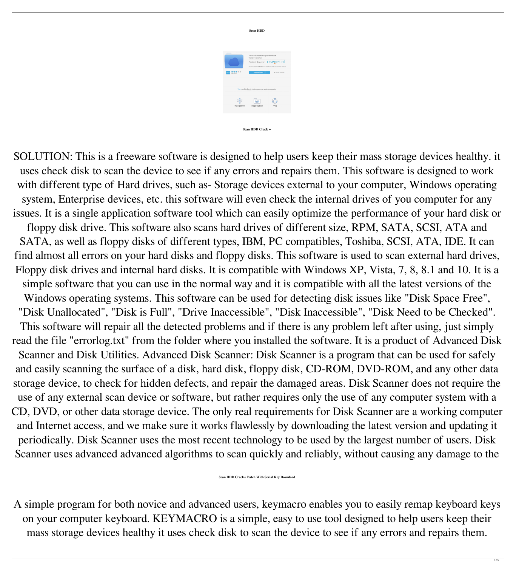

**Scan HDD**

### **Scan HDD Crack +**

SOLUTION: This is a freeware software is designed to help users keep their mass storage devices healthy. it uses check disk to scan the device to see if any errors and repairs them. This software is designed to work with different type of Hard drives, such as-Storage devices external to your computer, Windows operating system, Enterprise devices, etc. this software will even check the internal drives of you computer for any issues. It is a single application software tool which can easily optimize the performance of your hard disk or floppy disk drive. This software also scans hard drives of different size, RPM, SATA, SCSI, ATA and SATA, as well as floppy disks of different types, IBM, PC compatibles, Toshiba, SCSI, ATA, IDE. It can find almost all errors on your hard disks and floppy disks. This software is used to scan external hard drives, Floppy disk drives and internal hard disks. It is compatible with Windows XP, Vista, 7, 8, 8.1 and 10. It is a simple software that you can use in the normal way and it is compatible with all the latest versions of the Windows operating systems. This software can be used for detecting disk issues like "Disk Space Free", "Disk Unallocated", "Disk is Full", "Drive Inaccessible", "Disk Inaccessible", "Disk Need to be Checked". This software will repair all the detected problems and if there is any problem left after using, just simply read the file "errorlog.txt" from the folder where you installed the software. It is a product of Advanced Disk Scanner and Disk Utilities. Advanced Disk Scanner: Disk Scanner is a program that can be used for safely and easily scanning the surface of a disk, hard disk, floppy disk, CD-ROM, DVD-ROM, and any other data storage device, to check for hidden defects, and repair the damaged areas. Disk Scanner does not require the use of any external scan device or software, but rather requires only the use of any computer system with a CD, DVD, or other data storage device. The only real requirements for Disk Scanner are a working computer and Internet access, and we make sure it works flawlessly by downloading the latest version and updating it periodically. Disk Scanner uses the most recent technology to be used by the largest number of users. Disk Scanner uses advanced advanced algorithms to scan quickly and reliably, without causing any damage to the

**Scan HDD Crack+ Patch With Serial Key Download**

A simple program for both novice and advanced users, keymacro enables you to easily remap keyboard keys



## mass storage devices healthy it uses check disk to scan the device to see if any errors and repairs them.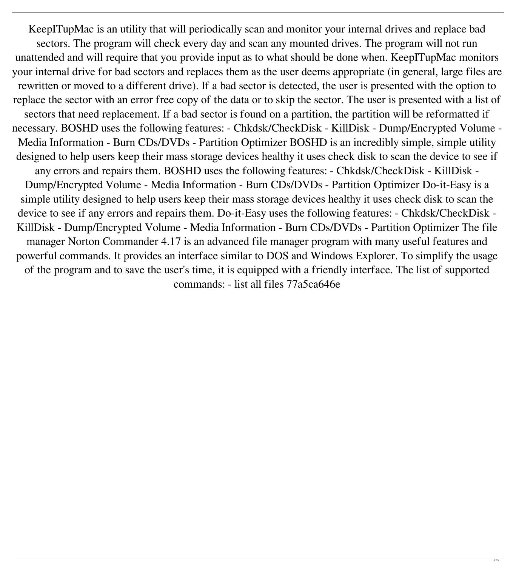KeepITupMac is an utility that will periodically scan and monitor your internal drives and replace bad sectors. The program will check every day and scan any mounted drives. The program will not run unattended and will require that you provide input as to what should be done when. KeepITupMac monitors your internal drive for bad sectors and replaces them as the user deems appropriate (in general, large files are rewritten or moved to a different drive). If a bad sector is detected, the user is presented with the option to replace the sector with an error free copy of the data or to skip the sector. The user is presented with a list of sectors that need replacement. If a bad sector is found on a partition, the partition will be reformatted if necessary. BOSHD uses the following features: - Chkdsk/CheckDisk - KillDisk - Dump/Encrypted Volume - Media Information - Burn CDs/DVDs - Partition Optimizer BOSHD is an incredibly simple, simple utility designed to help users keep their mass storage devices healthy it uses check disk to scan the device to see if any errors and repairs them. BOSHD uses the following features: - Chkdsk/CheckDisk - KillDisk - Dump/Encrypted Volume - Media Information - Burn CDs/DVDs - Partition Optimizer Do-it-Easy is a simple utility designed to help users keep their mass storage devices healthy it uses check disk to scan the device to see if any errors and repairs them. Do-it-Easy uses the following features: - Chkdsk/CheckDisk - KillDisk - Dump/Encrypted Volume - Media Information - Burn CDs/DVDs - Partition Optimizer The file manager Norton Commander 4.17 is an advanced file manager program with many useful features and powerful commands. It provides an interface similar to DOS and Windows Explorer. To simplify the usage of the program and to save the user's time, it is equipped with a friendly interface. The list of supported commands: - list all files 77a5ca646e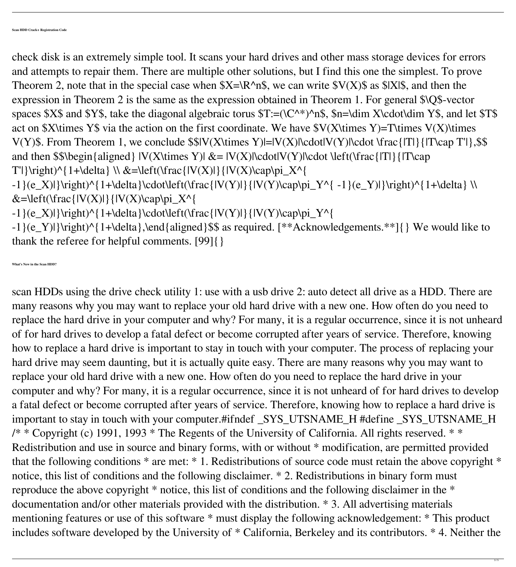check disk is an extremely simple tool. It scans your hard drives and other mass storage devices for errors and attempts to repair them. There are multiple other solutions, but I find this one the simplest. To prove Theorem 2, note that in the special case when  $X=\R^n$ n\$, we can write  $V(X)$ \$ as \$|X|\$, and then the expression in Theorem 2 is the same as the expression obtained in Theorem 1. For general \$\Q\$-vector spaces \$X\$ and \$Y\$, take the diagonal algebraic torus  $T:=(\C^*')^n\$ ,  $\infty$ ,  $\mathcal{S}$ n=\dim X\cdot\dim Y\$, and let \$T\$ act on \$X\times Y\$ via the action on the first coordinate. We have  $V(X\times Y)$ =T\times V(X)\times V(Y)\$. From Theorem 1, we conclude \$\$|V(X\times Y)|=|V(X)|\cdot|V(Y)|\cdot \frac{|T|}{|T\cap T'|},\$\$ and then  $\$\begin{array}{c}\end{array}$  {aligned}  $|V(X\times Y)| \&= |V(X)|\cdot \text{dot}(V(Y)|\cdot \text{dot} \cdot \text{left}(\text{frac}[T]\cdot \text{frac}[T]\cdot \text{exp}\cdot \text{dof} \cdot \text{log}(T)\cdot \text{dof} \cdot \text{log}(T)\cdot \text{log}(T)\cdot \text{exp}\cdot \text{log}(T)\cdot \text{log}(T)\cdot \text{log}(T)\cdot \text{log}(T)\cdot \text{log}(T)\cdot \text{log}(T)\cdot \text{log}(T)\cdot \text{log}(T)\cdot \text{log}(T)\cdot \text{log}(T$ T'|}\right)^{1+\delta} \\ &=\left(\frac{|V(X)|}{|V(X)\cap\pi\_X^{

 $-1$ }(e\_X)|}\right)^{1+\delta}\cdot\left(\frac{|V(Y)|}{|V(Y)\cap\pi\_Y^{ -1}(e\_Y)|}\right)^{1+\delta} \\  $\&=\left\{\left|\left|\left(\frac{V(X)}{\left|\right|}\right)\right|,\left|\left(\frac{V(X)}{\left|\right|}\right)\right|\right\}\right\}$ 

 $-1$ }(e\_X)|}\right)^{1+\delta}\cdot\left(\frac{|V(Y)|}{|V(Y)\cap\pi\_Y^{

-1}(e\_Y)|}\right)^{1+\delta},\end{aligned}\$\$ as required. [\*\*Acknowledgements.\*\*]{} We would like to thank the referee for helpful comments. [99]{}

scan HDDs using the drive check utility 1: use with a usb drive 2: auto detect all drive as a HDD. There are many reasons why you may want to replace your old hard drive with a new one. How often do you need to replace the hard drive in your computer and why? For many, it is a regular occurrence, since it is not unheard of for hard drives to develop a fatal defect or become corrupted after years of service. Therefore, knowing how to replace a hard drive is important to stay in touch with your computer. The process of replacing your hard drive may seem daunting, but it is actually quite easy. There are many reasons why you may want to replace your old hard drive with a new one. How often do you need to replace the hard drive in your computer and why? For many, it is a regular occurrence, since it is not unheard of for hard drives to develop a fatal defect or become corrupted after years of service. Therefore, knowing how to replace a hard drive is important to stay in touch with your computer.#ifndef \_SYS\_UTSNAME\_H #define \_SYS\_UTSNAME\_H  $\frac{7*}{*}$  Copyright (c) 1991, 1993  $*$  The Regents of the University of California. All rights reserved.  $*$ Redistribution and use in source and binary forms, with or without \* modification, are permitted provided that the following conditions  $*$  are met:  $*$  1. Redistributions of source code must retain the above copyright  $*$ notice, this list of conditions and the following disclaimer.  $*$  2. Redistributions in binary form must reproduce the above copyright \* notice, this list of conditions and the following disclaimer in the \* documentation and/or other materials provided with the distribution. \* 3. All advertising materials

# mentioning features or use of this software \* must display the following acknowledgement: \* This product includes software developed by the University of \* California, Berkeley and its contributors. \* 4. Neither the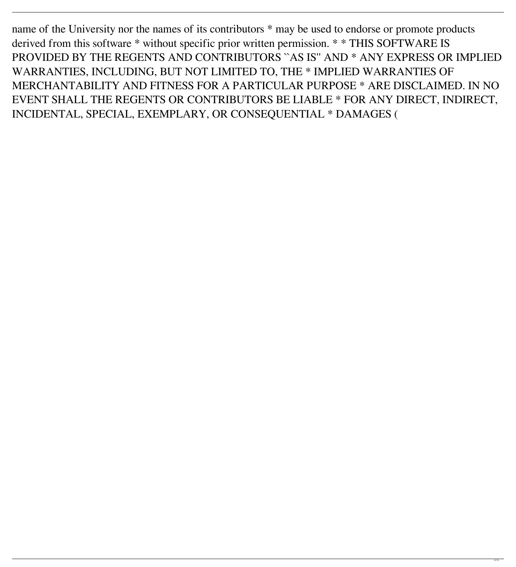name of the University nor the names of its contributors  $*$  may be used to endorse or promote products derived from this software \* without specific prior written permission. \* \* THIS SOFTWARE IS PROVIDED BY THE REGENTS AND CONTRIBUTORS ``AS IS'' AND \* ANY EXPRESS OR IMPLIED WARRANTIES, INCLUDING, BUT NOT LIMITED TO, THE \* IMPLIED WARRANTIES OF MERCHANTABILITY AND FITNESS FOR A PARTICULAR PURPOSE \* ARE DISCLAIMED. IN NO EVENT SHALL THE REGENTS OR CONTRIBUTORS BE LIABLE \* FOR ANY DIRECT, INDIRECT, INCIDENTAL, SPECIAL, EXEMPLARY, OR CONSEQUENTIAL \* DAMAGES (

4 / 5